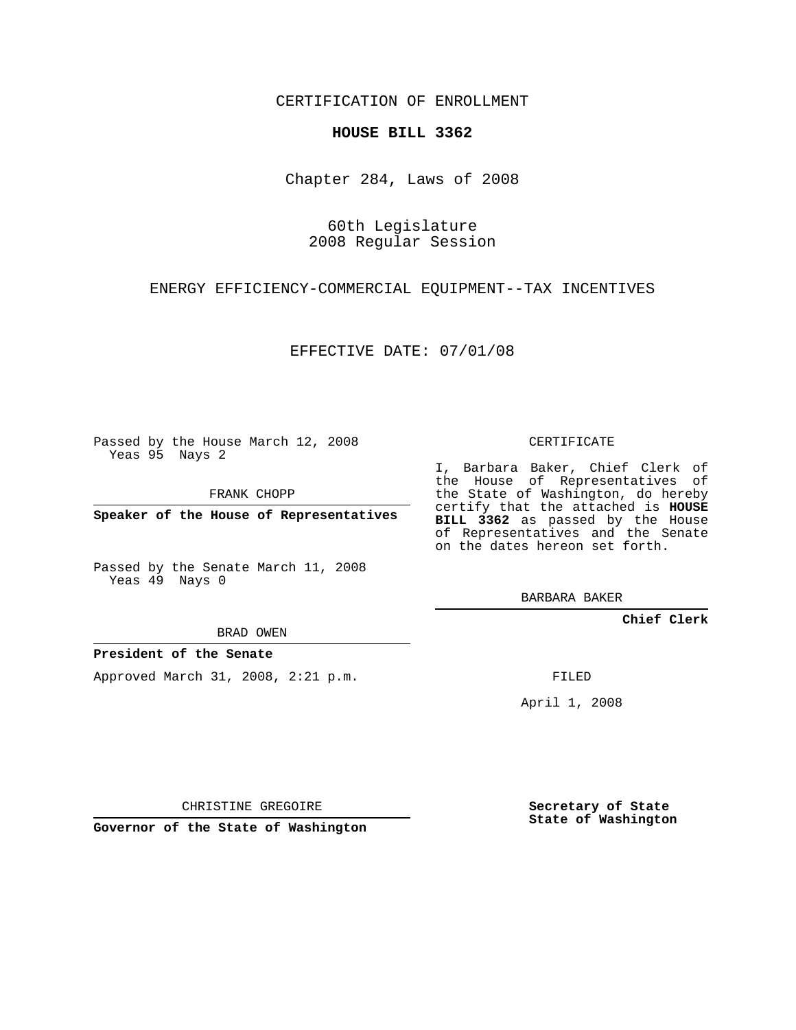CERTIFICATION OF ENROLLMENT

## **HOUSE BILL 3362**

Chapter 284, Laws of 2008

60th Legislature 2008 Regular Session

ENERGY EFFICIENCY-COMMERCIAL EQUIPMENT--TAX INCENTIVES

EFFECTIVE DATE: 07/01/08

Passed by the House March 12, 2008 Yeas 95 Nays 2

FRANK CHOPP

**Speaker of the House of Representatives**

Passed by the Senate March 11, 2008 Yeas 49 Nays 0

BRAD OWEN

**President of the Senate**

Approved March 31, 2008, 2:21 p.m.

CERTIFICATE

I, Barbara Baker, Chief Clerk of the House of Representatives of the State of Washington, do hereby certify that the attached is **HOUSE BILL 3362** as passed by the House of Representatives and the Senate on the dates hereon set forth.

BARBARA BAKER

**Chief Clerk**

FILED

April 1, 2008

CHRISTINE GREGOIRE

**Governor of the State of Washington**

**Secretary of State State of Washington**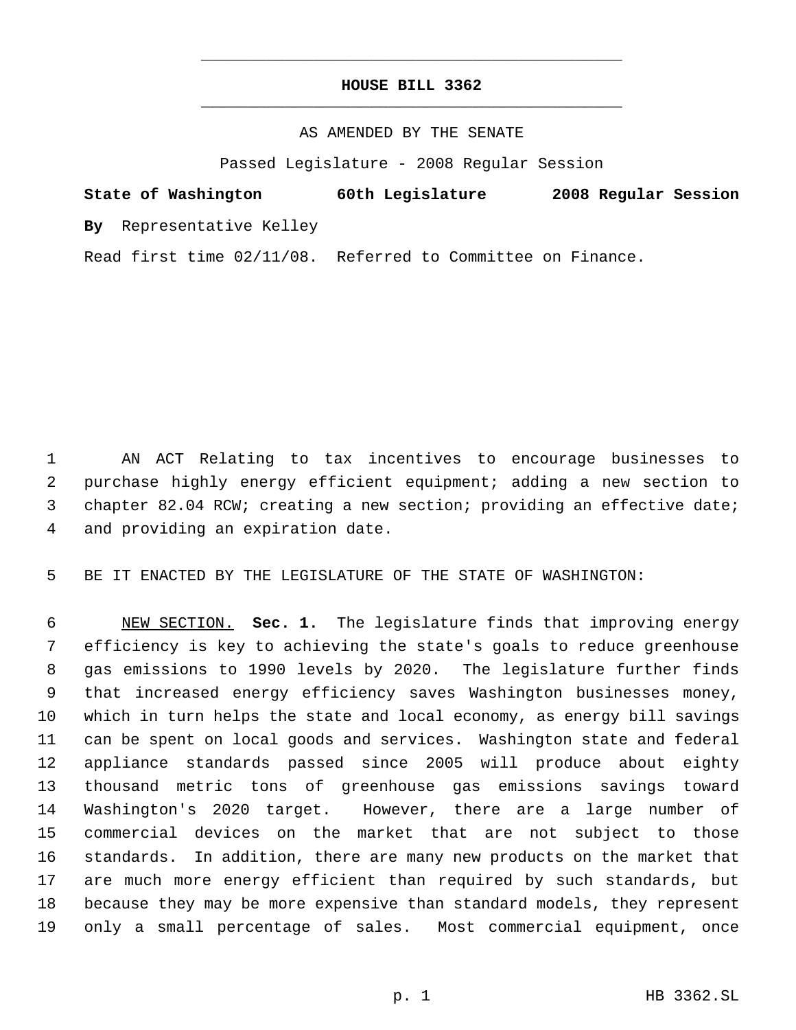## **HOUSE BILL 3362** \_\_\_\_\_\_\_\_\_\_\_\_\_\_\_\_\_\_\_\_\_\_\_\_\_\_\_\_\_\_\_\_\_\_\_\_\_\_\_\_\_\_\_\_\_

\_\_\_\_\_\_\_\_\_\_\_\_\_\_\_\_\_\_\_\_\_\_\_\_\_\_\_\_\_\_\_\_\_\_\_\_\_\_\_\_\_\_\_\_\_

## AS AMENDED BY THE SENATE

Passed Legislature - 2008 Regular Session

**State of Washington 60th Legislature 2008 Regular Session**

**By** Representative Kelley

Read first time 02/11/08. Referred to Committee on Finance.

 AN ACT Relating to tax incentives to encourage businesses to purchase highly energy efficient equipment; adding a new section to chapter 82.04 RCW; creating a new section; providing an effective date; and providing an expiration date.

BE IT ENACTED BY THE LEGISLATURE OF THE STATE OF WASHINGTON:

 NEW SECTION. **Sec. 1.** The legislature finds that improving energy efficiency is key to achieving the state's goals to reduce greenhouse gas emissions to 1990 levels by 2020. The legislature further finds that increased energy efficiency saves Washington businesses money, which in turn helps the state and local economy, as energy bill savings can be spent on local goods and services. Washington state and federal appliance standards passed since 2005 will produce about eighty thousand metric tons of greenhouse gas emissions savings toward Washington's 2020 target. However, there are a large number of commercial devices on the market that are not subject to those standards. In addition, there are many new products on the market that are much more energy efficient than required by such standards, but because they may be more expensive than standard models, they represent only a small percentage of sales. Most commercial equipment, once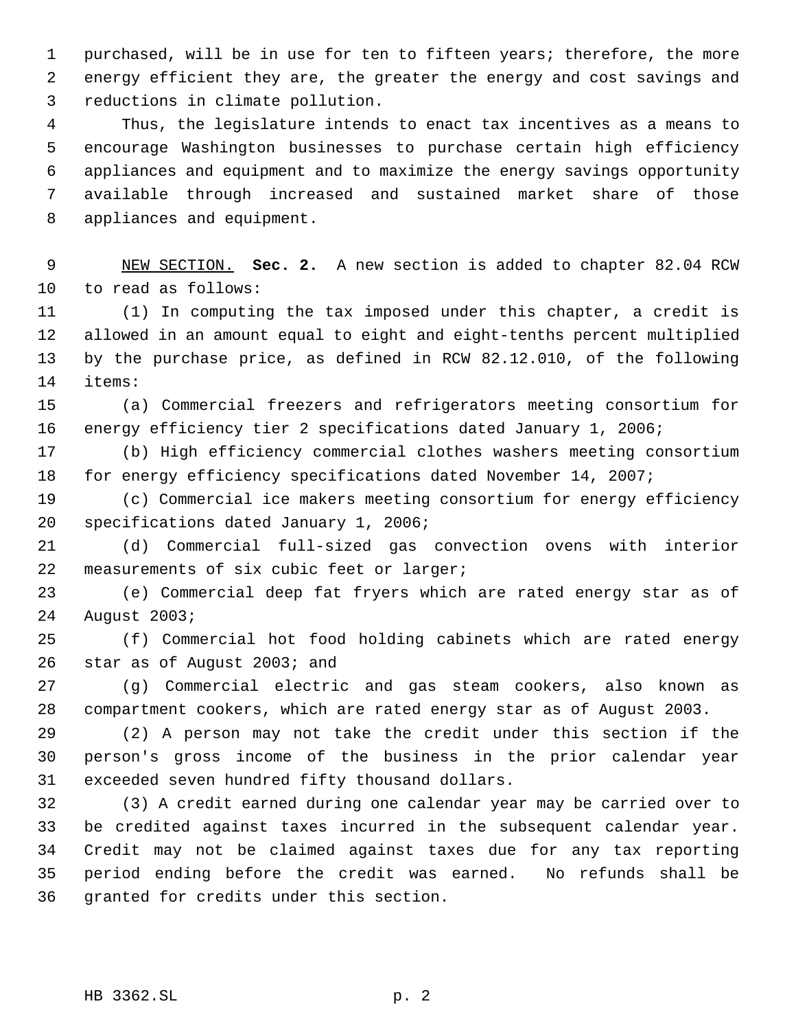purchased, will be in use for ten to fifteen years; therefore, the more energy efficient they are, the greater the energy and cost savings and reductions in climate pollution.

 Thus, the legislature intends to enact tax incentives as a means to encourage Washington businesses to purchase certain high efficiency appliances and equipment and to maximize the energy savings opportunity available through increased and sustained market share of those appliances and equipment.

 NEW SECTION. **Sec. 2.** A new section is added to chapter 82.04 RCW to read as follows:

 (1) In computing the tax imposed under this chapter, a credit is allowed in an amount equal to eight and eight-tenths percent multiplied by the purchase price, as defined in RCW 82.12.010, of the following items:

 (a) Commercial freezers and refrigerators meeting consortium for energy efficiency tier 2 specifications dated January 1, 2006;

 (b) High efficiency commercial clothes washers meeting consortium for energy efficiency specifications dated November 14, 2007;

 (c) Commercial ice makers meeting consortium for energy efficiency specifications dated January 1, 2006;

 (d) Commercial full-sized gas convection ovens with interior measurements of six cubic feet or larger;

 (e) Commercial deep fat fryers which are rated energy star as of August 2003;

 (f) Commercial hot food holding cabinets which are rated energy star as of August 2003; and

 (g) Commercial electric and gas steam cookers, also known as compartment cookers, which are rated energy star as of August 2003.

 (2) A person may not take the credit under this section if the person's gross income of the business in the prior calendar year exceeded seven hundred fifty thousand dollars.

 (3) A credit earned during one calendar year may be carried over to be credited against taxes incurred in the subsequent calendar year. Credit may not be claimed against taxes due for any tax reporting period ending before the credit was earned. No refunds shall be granted for credits under this section.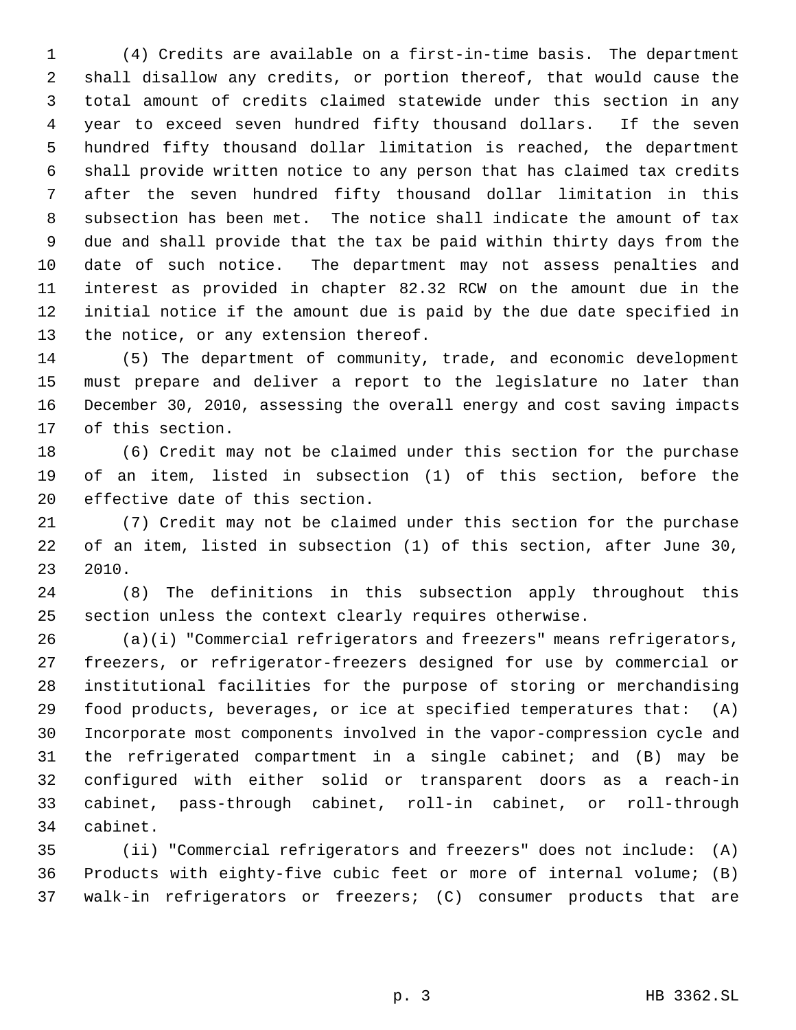(4) Credits are available on a first-in-time basis. The department shall disallow any credits, or portion thereof, that would cause the total amount of credits claimed statewide under this section in any year to exceed seven hundred fifty thousand dollars. If the seven hundred fifty thousand dollar limitation is reached, the department shall provide written notice to any person that has claimed tax credits after the seven hundred fifty thousand dollar limitation in this subsection has been met. The notice shall indicate the amount of tax due and shall provide that the tax be paid within thirty days from the date of such notice. The department may not assess penalties and interest as provided in chapter 82.32 RCW on the amount due in the initial notice if the amount due is paid by the due date specified in the notice, or any extension thereof.

 (5) The department of community, trade, and economic development must prepare and deliver a report to the legislature no later than December 30, 2010, assessing the overall energy and cost saving impacts of this section.

 (6) Credit may not be claimed under this section for the purchase of an item, listed in subsection (1) of this section, before the effective date of this section.

 (7) Credit may not be claimed under this section for the purchase of an item, listed in subsection (1) of this section, after June 30, 2010.

 (8) The definitions in this subsection apply throughout this section unless the context clearly requires otherwise.

 (a)(i) "Commercial refrigerators and freezers" means refrigerators, freezers, or refrigerator-freezers designed for use by commercial or institutional facilities for the purpose of storing or merchandising food products, beverages, or ice at specified temperatures that: (A) Incorporate most components involved in the vapor-compression cycle and the refrigerated compartment in a single cabinet; and (B) may be configured with either solid or transparent doors as a reach-in cabinet, pass-through cabinet, roll-in cabinet, or roll-through cabinet.

 (ii) "Commercial refrigerators and freezers" does not include: (A) Products with eighty-five cubic feet or more of internal volume; (B) walk-in refrigerators or freezers; (C) consumer products that are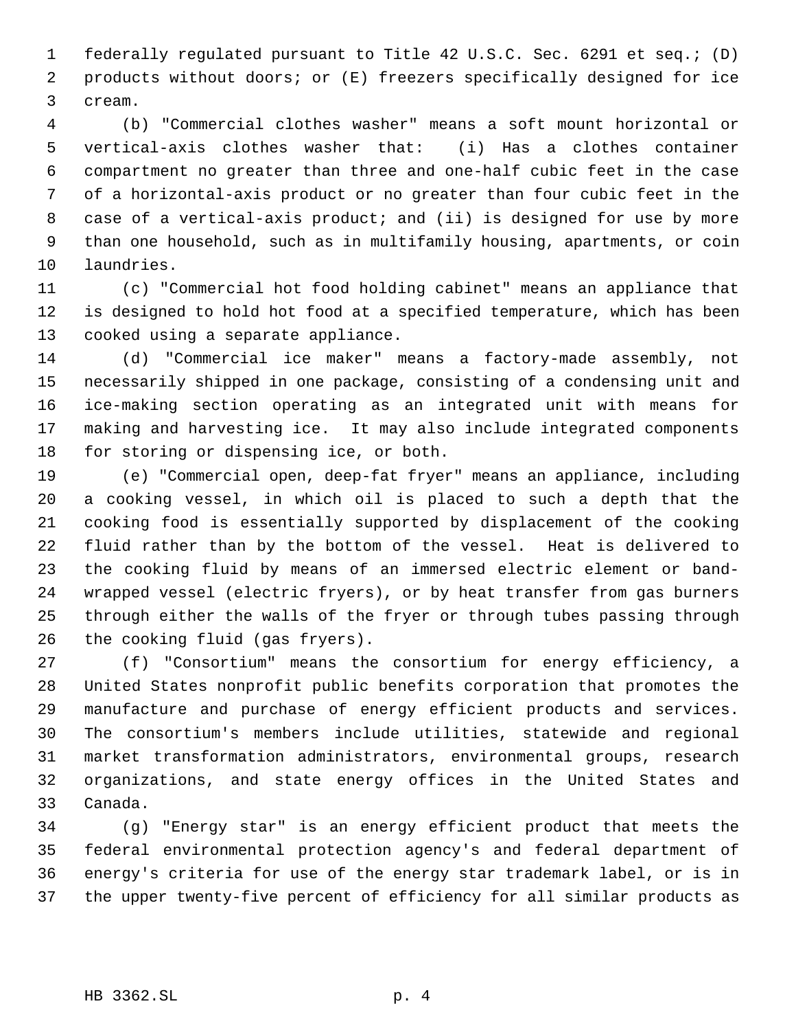federally regulated pursuant to Title 42 U.S.C. Sec. 6291 et seq.; (D) products without doors; or (E) freezers specifically designed for ice cream.

 (b) "Commercial clothes washer" means a soft mount horizontal or vertical-axis clothes washer that: (i) Has a clothes container compartment no greater than three and one-half cubic feet in the case of a horizontal-axis product or no greater than four cubic feet in the case of a vertical-axis product; and (ii) is designed for use by more than one household, such as in multifamily housing, apartments, or coin laundries.

 (c) "Commercial hot food holding cabinet" means an appliance that is designed to hold hot food at a specified temperature, which has been cooked using a separate appliance.

 (d) "Commercial ice maker" means a factory-made assembly, not necessarily shipped in one package, consisting of a condensing unit and ice-making section operating as an integrated unit with means for making and harvesting ice. It may also include integrated components for storing or dispensing ice, or both.

 (e) "Commercial open, deep-fat fryer" means an appliance, including a cooking vessel, in which oil is placed to such a depth that the cooking food is essentially supported by displacement of the cooking fluid rather than by the bottom of the vessel. Heat is delivered to the cooking fluid by means of an immersed electric element or band- wrapped vessel (electric fryers), or by heat transfer from gas burners through either the walls of the fryer or through tubes passing through the cooking fluid (gas fryers).

 (f) "Consortium" means the consortium for energy efficiency, a United States nonprofit public benefits corporation that promotes the manufacture and purchase of energy efficient products and services. The consortium's members include utilities, statewide and regional market transformation administrators, environmental groups, research organizations, and state energy offices in the United States and Canada.

 (g) "Energy star" is an energy efficient product that meets the federal environmental protection agency's and federal department of energy's criteria for use of the energy star trademark label, or is in the upper twenty-five percent of efficiency for all similar products as